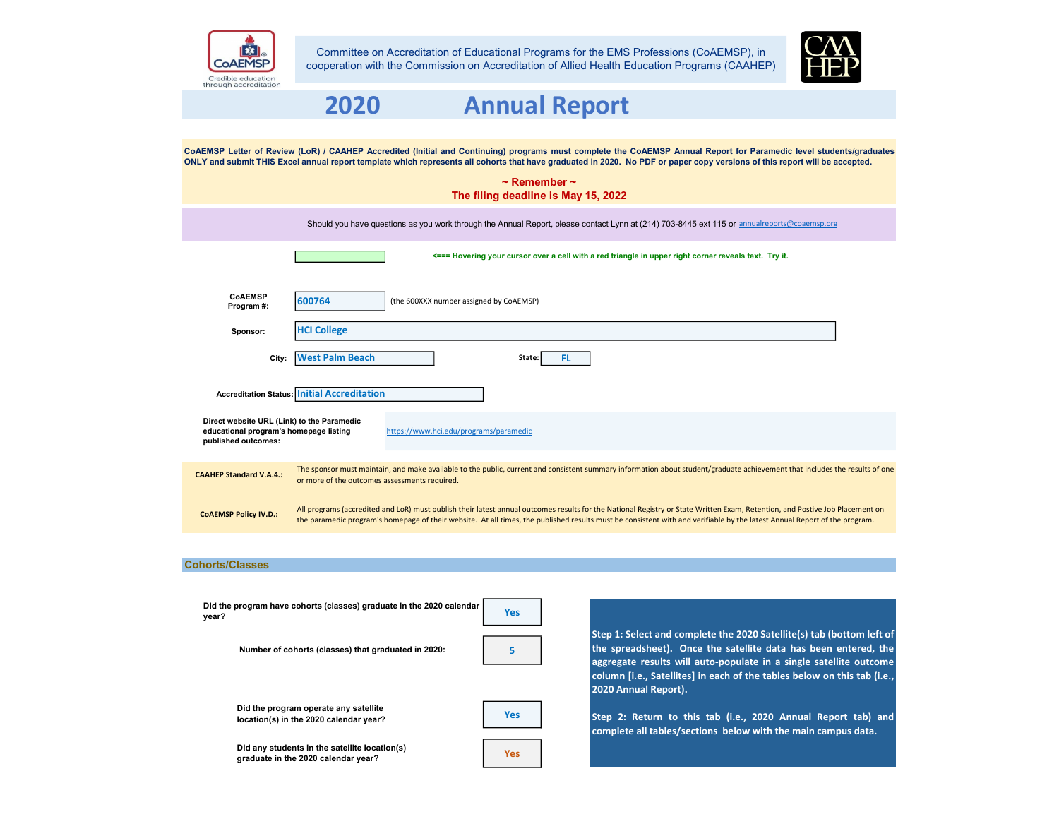

Committee on Accreditation of Educational Programs for the EMS Professions (CoAEMSP), in cooperation with the Commission on Accreditation of Allied Health Education Programs (CAAHEP)



# Credible education<br>through accreditation 2020 Annual Report CoAEMSP Letter of Review (LoR) / CAAHEP Accredited (Initial and Continuing) programs must complete the CoAEMSP Annual Report for Paramedic level students/graduates ONLY and submit THIS Excel annual report template which represents all cohorts that have graduated in 2020. No PDF or paper copy versions of this report will be accepted. ~ Remember ~ The filing deadline is May 15, 2022 Should you have questions as you work through the Annual Report, please contact Lynn at (214) 703-8445 ext 115 or annualreports@coaemsp.org <=== Hovering your cursor over a cell with a red triangle in upper right corner reveals text. Try it. CoAEMSP<br>Program #: 600764 (the 600XXX number assigned by CoAEMSP) Sponsor: HCI College City: West Palm Beach **State:** FL Accreditation Status: Initial Accreditation Direct website URL (Link) to the Paramedic educational program's homepage listing https://www.hci.edu/programs/paramedic published outcomes: The sponsor must maintain, and make available to the public, current and consistent summary information about student/graduate achievement that includes the results of one CAAHEP Standard V.A.4.: or more of the outcomes assessments required. All programs (accredited and LoR) must publish their latest annual outcomes results for the National Registry or State Written Exam, Retention, and Postive Job Placement on COAEMSP Policy IV.D.: The paramedic program's homepage of their website. At all times, the published results must be consistent with and verifiable by the latest Annual Report of the program.

## Cohorts/Classes

| Did the program have cohorts (classes) graduate in the 2020 calendar<br>year?        | <b>Yes</b> |                                                                                                                                                                                                                                                                                                                    |
|--------------------------------------------------------------------------------------|------------|--------------------------------------------------------------------------------------------------------------------------------------------------------------------------------------------------------------------------------------------------------------------------------------------------------------------|
| Number of cohorts (classes) that graduated in 2020:                                  |            | Step 1: Select and complete the 2020 Satellite(s) tab (bottom left of<br>the spreadsheet). Once the satellite data has been entered, the<br>aggregate results will auto-populate in a single satellite outcome<br>column [i.e., Satellites] in each of the tables below on this tab (i.e.,<br>2020 Annual Report). |
| Did the program operate any satellite<br>location(s) in the 2020 calendar year?      | <b>Yes</b> | Step 2: Return to this tab (i.e., 2020 Annual Report tab) and<br>complete all tables/sections below with the main campus data.                                                                                                                                                                                     |
| Did any students in the satellite location(s)<br>graduate in the 2020 calendar year? | <b>Yes</b> |                                                                                                                                                                                                                                                                                                                    |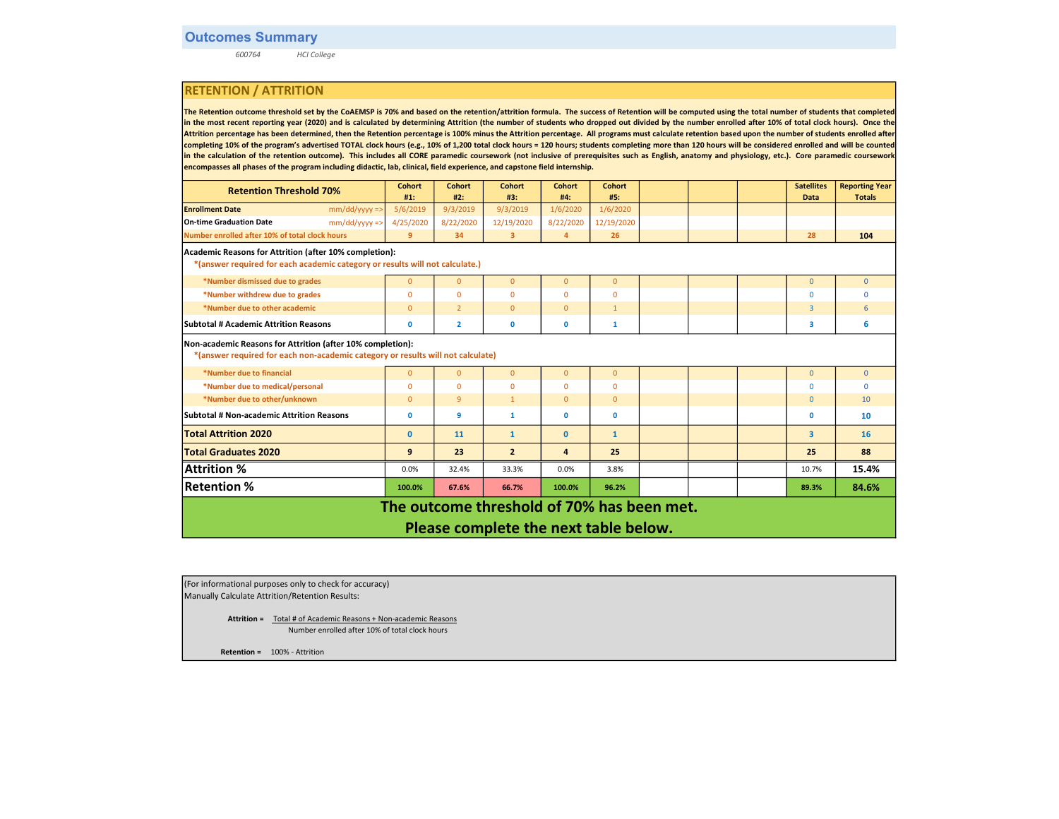600764 HCI College

# RETENTION / ATTRITION

The Retention outcome threshold set by the CoAEMSP is 70% and based on the retention/attrition formula. The success of Retention will be computed using the total number of students that completed in the most recent reporting year (2020) and is calculated by determining Attrition (the number of students who dropped out divided by the number enrolled after 10% of total clock hours). Once the Attrition percentage has been determined, then the Retention percentage is 100% minus the Attrition percentage. All programs must calculate retention based upon the number of students enrolled after completing 10% of the program's advertised TOTAL clock hours (e.g., 10% of 1,200 total clock hours = 120 hours; students completing more than 120 hours will be considered enrolled and will be counted in the calculation of the retention outcome). This includes all CORE paramedic coursework (not inclusive of prerequisites such as English, anatomy and physiology, etc.). Core paramedic coursework encompasses all phases of the program including didactic, lab, clinical, field experience, and capstone field internship.

| <b>Retention Threshold 70%</b>                                               | <b>Cohort</b>                                                                                                                                 | Cohort         | <b>Cohort</b>  | <b>Cohort</b>  | <b>Cohort</b> |  |  | <b>Satellites</b> | <b>Reporting Year</b> |
|------------------------------------------------------------------------------|-----------------------------------------------------------------------------------------------------------------------------------------------|----------------|----------------|----------------|---------------|--|--|-------------------|-----------------------|
|                                                                              | #1:                                                                                                                                           | #2:            | #3:            | #4:            | #5:           |  |  | <b>Data</b>       | <b>Totals</b>         |
| <b>Enrollment Date</b><br>$mm/dd/yyyy$ =>                                    | 5/6/2019                                                                                                                                      | 9/3/2019       | 9/3/2019       | 1/6/2020       | 1/6/2020      |  |  |                   |                       |
| $mm/dd/yyyy$ =><br><b>On-time Graduation Date</b>                            | 4/25/2020                                                                                                                                     | 8/22/2020      | 12/19/2020     | 8/22/2020      | 12/19/2020    |  |  |                   |                       |
| Number enrolled after 10% of total clock hours                               | 9                                                                                                                                             | 34             | 3              | $\overline{4}$ | 26            |  |  | 28                | 104                   |
| Academic Reasons for Attrition (after 10% completion):                       |                                                                                                                                               |                |                |                |               |  |  |                   |                       |
| *(answer required for each academic category or results will not calculate.) |                                                                                                                                               |                |                |                |               |  |  |                   |                       |
| *Number dismissed due to grades                                              | $\overline{0}$                                                                                                                                | $\overline{0}$ | $\mathbf{0}$   | $\mathbf{0}$   | $\mathbf{0}$  |  |  | $\mathbf{0}$      | $\overline{0}$        |
| *Number withdrew due to grades                                               | $\Omega$                                                                                                                                      | $\mathbf 0$    | $\mathbf 0$    | $\mathbf 0$    | $\mathbf{0}$  |  |  | 0                 | $\Omega$              |
| *Number due to other academic                                                | $\mathbf{0}$                                                                                                                                  | $\overline{2}$ | $\mathbf{0}$   | $\mathbf{0}$   | $\mathbf{1}$  |  |  | 3                 | 6                     |
| Subtotal # Academic Attrition Reasons                                        | 0                                                                                                                                             | $\overline{2}$ | $\mathbf 0$    | $\mathbf 0$    | $\mathbf{1}$  |  |  | 3.                | 6                     |
|                                                                              | Non-academic Reasons for Attrition (after 10% completion):<br>*(answer required for each non-academic category or results will not calculate) |                |                |                |               |  |  |                   |                       |
| *Number due to financial                                                     | $\overline{0}$                                                                                                                                | $\overline{0}$ | $\overline{0}$ | $\overline{0}$ | $\mathbf{0}$  |  |  | $\overline{0}$    | $\Omega$              |
| *Number due to medical/personal                                              | $\Omega$                                                                                                                                      | $\Omega$       | $\mathbf{0}$   | $\mathbf{0}$   | $\mathbf{0}$  |  |  | $\Omega$          | $\Omega$              |
| *Number due to other/unknown                                                 | $\overline{0}$                                                                                                                                | 9              | $\mathbf{1}$   | $\overline{0}$ | $\mathbf{0}$  |  |  | $\mathbf{0}$      | 10                    |
| Subtotal # Non-academic Attrition Reasons                                    | O                                                                                                                                             | 9              | $\mathbf{1}$   | $\mathbf 0$    | $\mathbf 0$   |  |  | $\mathbf 0$       | 10                    |
| <b>Total Attrition 2020</b>                                                  | $\mathbf{0}$                                                                                                                                  | 11             | $\mathbf{1}$   | $\mathbf{0}$   | $\mathbf{1}$  |  |  | 3                 | 16                    |
| <b>Total Graduates 2020</b>                                                  | 9                                                                                                                                             | 23             | $\overline{2}$ | 4              | 25            |  |  | 25                | 88                    |
| <b>Attrition %</b>                                                           | 0.0%                                                                                                                                          | 32.4%          | 33.3%          | 0.0%           | 3.8%          |  |  | 10.7%             | 15.4%                 |
| <b>Retention %</b>                                                           | 100.0%                                                                                                                                        | 67.6%          | 66.7%          | 100.0%         | 96.2%         |  |  | 89.3%             | 84.6%                 |
| The outcome threshold of 70% has been met.                                   |                                                                                                                                               |                |                |                |               |  |  |                   |                       |
| Please complete the next table below.                                        |                                                                                                                                               |                |                |                |               |  |  |                   |                       |

| (For informational purposes only to check for accuracy) |
|---------------------------------------------------------|
| Manually Calculate Attrition/Retention Results:         |

 Attrition = Total # of Academic Reasons + Non-academic Reasons Number enrolled after 10% of total clock hours

Retention = 100% - Attrition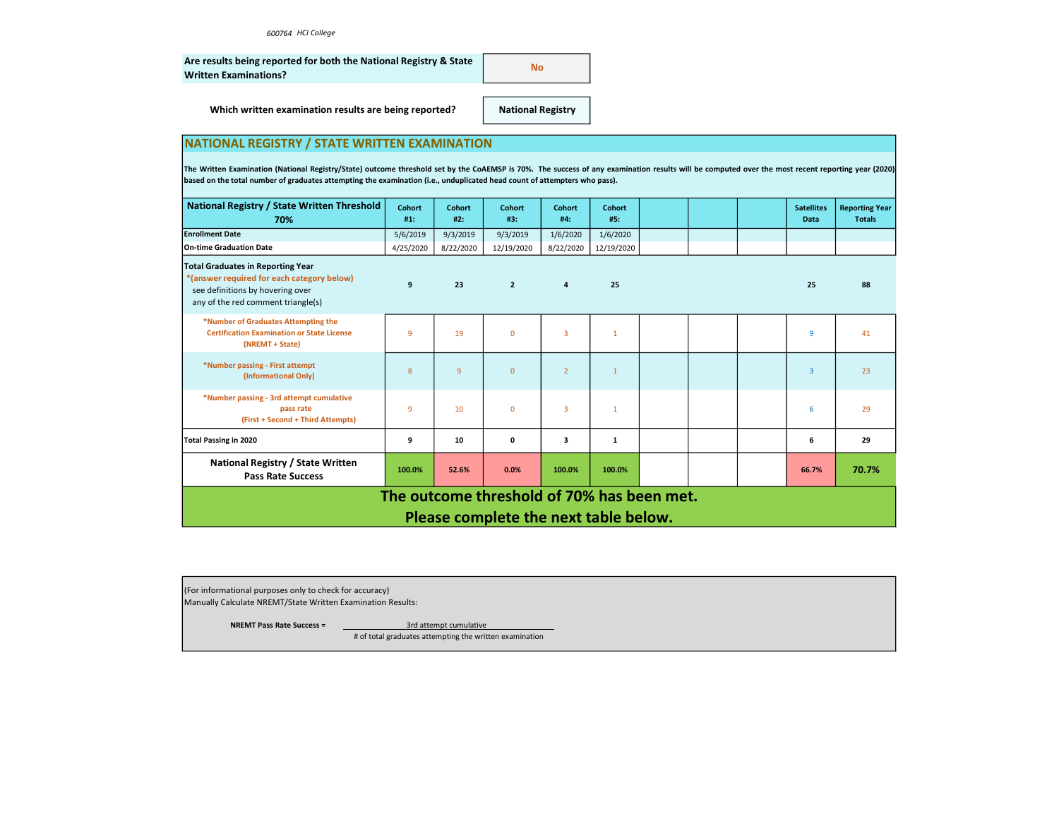| Are results being reported for both the National Registry & State | No. |
|-------------------------------------------------------------------|-----|
| <b>Written Examinations?</b>                                      |     |

Which written examination results are being reported?

National Registry

# NATIONAL REGISTRY / STATE WRITTEN EXAMINATION

The Written Examination (National Registry/State) outcome threshold set by the CoAEMSP is 70%. The success of any examination results will be computed over the most recent reporting year (2020) based on the total number of graduates attempting the examination (i.e., unduplicated head count of attempters who pass).

| National Registry / State Written Threshold<br>70%                                                                                                               | Cohort<br>#1: | Cohort<br>#2: | <b>Cohort</b><br>#3:                  | <b>Cohort</b><br>#4:    | <b>Cohort</b><br>#5: |  |  | <b>Satellites</b><br>Data | <b>Reporting Year</b><br><b>Totals</b> |
|------------------------------------------------------------------------------------------------------------------------------------------------------------------|---------------|---------------|---------------------------------------|-------------------------|----------------------|--|--|---------------------------|----------------------------------------|
| <b>Enrollment Date</b>                                                                                                                                           | 5/6/2019      | 9/3/2019      | 9/3/2019                              | 1/6/2020                | 1/6/2020             |  |  |                           |                                        |
| On-time Graduation Date                                                                                                                                          | 4/25/2020     | 8/22/2020     | 12/19/2020                            | 8/22/2020               | 12/19/2020           |  |  |                           |                                        |
| <b>Total Graduates in Reporting Year</b><br>*(answer required for each category below)<br>see definitions by hovering over<br>any of the red comment triangle(s) | 9             | 23            | $\overline{2}$                        | $\overline{\mathbf{a}}$ | 25                   |  |  | 25                        | 88                                     |
| *Number of Graduates Attempting the<br><b>Certification Examination or State License</b><br>(NREMT + State)                                                      | 9             | 19            | $\Omega$                              | $\overline{3}$          | $\mathbf{1}$         |  |  | 9                         | 41                                     |
| *Number passing - First attempt<br>(Informational Only)                                                                                                          | 8             | 9             | $\overline{0}$                        | $\overline{2}$          | $\mathbf{1}$         |  |  | $\overline{3}$            | 23                                     |
| *Number passing - 3rd attempt cumulative<br>pass rate<br>(First + Second + Third Attempts)                                                                       | 9             | 10            | $\overline{0}$                        | 3                       | 1                    |  |  | 6                         | 29                                     |
| <b>Total Passing in 2020</b>                                                                                                                                     | 9             | 10            | $\mathbf 0$                           | 3                       | $\mathbf{1}$         |  |  | 6                         | 29                                     |
| National Registry / State Written<br><b>Pass Rate Success</b>                                                                                                    | 100.0%        | 52.6%         | 0.0%                                  | 100.0%                  | 100.0%               |  |  | 66.7%                     | 70.7%                                  |
| The outcome threshold of 70% has been met.                                                                                                                       |               |               |                                       |                         |                      |  |  |                           |                                        |
|                                                                                                                                                                  |               |               | Please complete the next table below. |                         |                      |  |  |                           |                                        |

(For informational purposes only to check for accuracy) Manually Calculate NREMT/State Written Examination Results:

NREMT Pass Rate Success = 3rd attempt cumulative

# of total graduates attempting the written examination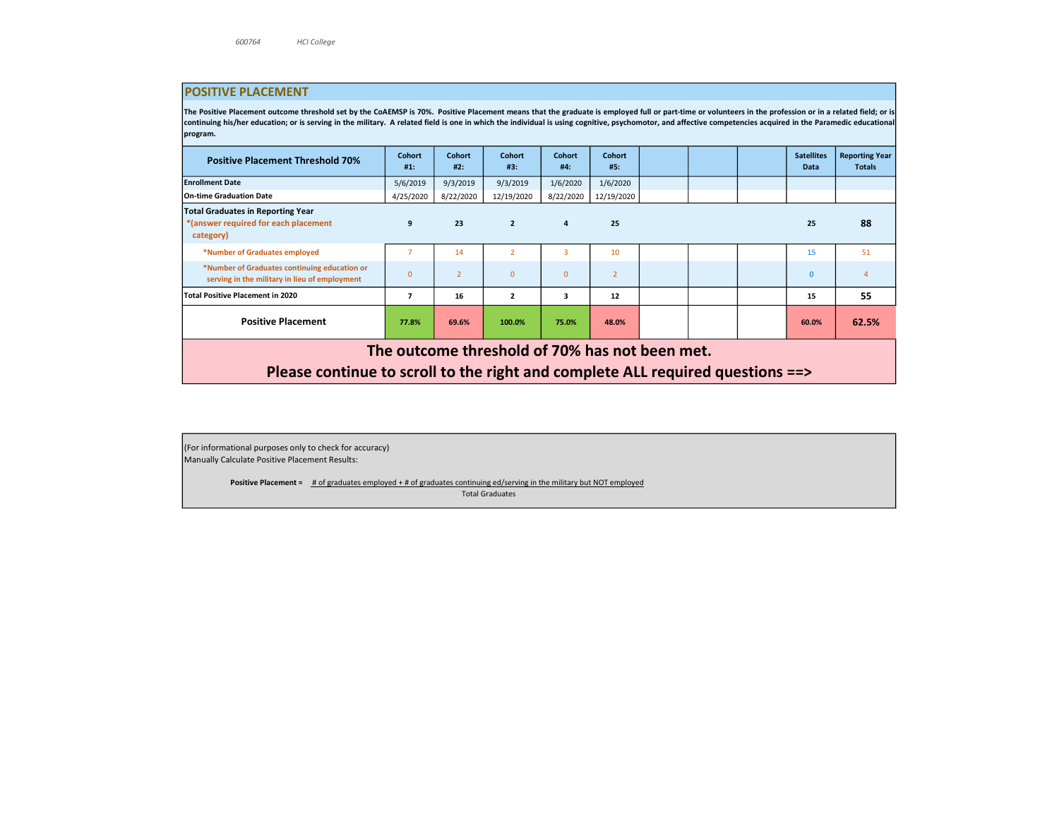## POSITIVE PLACEMENT

The Positive Placement outcome threshold set by the CoAEMSP is 70%. Positive Placement means that the graduate is employed full or part-time or volunteers in the profession or in a related field; or is continuing his/her education; or is serving in the military. A related field is one in which the individual is using cognitive, psychomotor, and affective competencies acquired in the Paramedic educational program.

| <b>Positive Placement Threshold 70%</b>                                                                                          | Cohort<br>#1: | <b>Cohort</b><br>#2: | <b>Cohort</b><br>#3: | <b>Cohort</b><br>#4: | <b>Cohort</b><br>#5: |  |  | <b>Satellites</b><br><b>Data</b> | <b>Reporting Year</b><br><b>Totals</b> |
|----------------------------------------------------------------------------------------------------------------------------------|---------------|----------------------|----------------------|----------------------|----------------------|--|--|----------------------------------|----------------------------------------|
| <b>Enrollment Date</b>                                                                                                           | 5/6/2019      | 9/3/2019             | 9/3/2019             | 1/6/2020             | 1/6/2020             |  |  |                                  |                                        |
| On-time Graduation Date                                                                                                          | 4/25/2020     | 8/22/2020            | 12/19/2020           | 8/22/2020            | 12/19/2020           |  |  |                                  |                                        |
| <b>Total Graduates in Reporting Year</b><br>*(answer required for each placement<br>category)                                    | 9             | 23                   | $\overline{2}$       | 4                    | 25                   |  |  | 25                               | 88                                     |
| *Number of Graduates employed                                                                                                    |               | 14                   | $\overline{2}$       | 3                    | 10                   |  |  | 15                               | 51                                     |
| *Number of Graduates continuing education or<br>serving in the military in lieu of employment                                    | $\Omega$      | $\overline{2}$       | $\Omega$             | $\mathbf{0}$         | $\overline{2}$       |  |  | $\Omega$                         | $\mathbf{A}$                           |
| <b>Total Positive Placement in 2020</b>                                                                                          | 7             | 16                   | $\overline{2}$       | 3                    | 12                   |  |  | 15                               | 55                                     |
| <b>Positive Placement</b>                                                                                                        | 77.8%         | 69.6%                | 100.0%               | 75.0%                | 48.0%                |  |  | 60.0%                            | 62.5%                                  |
| The outcome threshold of 70% has not been met.<br>Please continue to scroll to the right and complete ALL required questions ==> |               |                      |                      |                      |                      |  |  |                                  |                                        |
|                                                                                                                                  |               |                      |                      |                      |                      |  |  |                                  |                                        |

(For informational purposes only to check for accuracy) Manually Calculate Positive Placement Results:

> Positive Placement = # of graduates employed + # of graduates continuing ed/serving in the military but NOT employed Total Graduates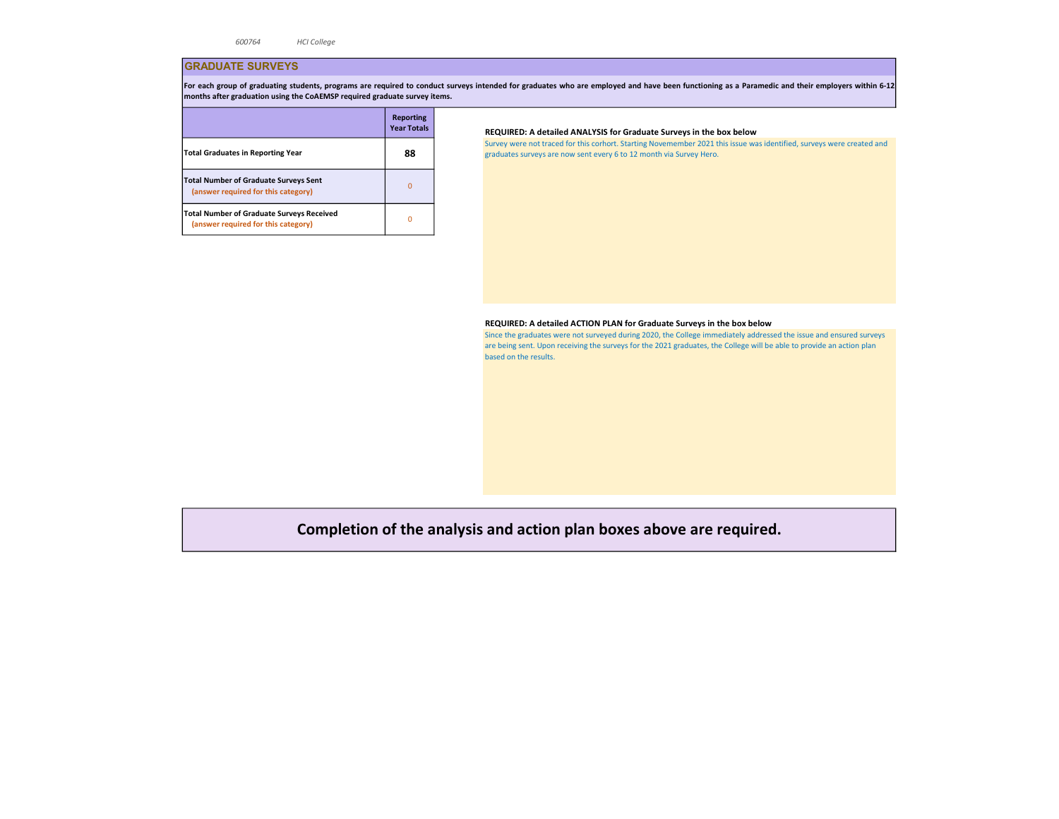## GRADUATE SURVEYS

For each group of graduating students, programs are required to conduct surveys intended for graduates who are employed and have been functioning as a Paramedic and their employers within 6-12 months after graduation using the CoAEMSP required graduate survey items.

|                                                                                     | <b>Reporting</b><br><b>Year Totals</b> |
|-------------------------------------------------------------------------------------|----------------------------------------|
| <b>Total Graduates in Reporting Year</b>                                            | 88                                     |
| <b>Total Number of Graduate Surveys Sent</b><br>(answer required for this category) |                                        |
| Total Number of Graduate Surveys Received<br>(answer required for this category)    |                                        |

## REQUIRED: A detailed ANALYSIS for Graduate Surveys in the box below

Survey were not traced for this corhort. Starting Novemember 2021 this issue was identified, surveys were created and graduates surveys are now sent every 6 to 12 month via Survey Hero.

#### REQUIRED: A detailed ACTION PLAN for Graduate Surveys in the box below

Since the graduates were not surveyed during 2020, the College immediately addressed the issue and ensured surveys are being sent. Upon receiving the surveys for the 2021 graduates, the College will be able to provide an action plan based on the results.

# Completion of the analysis and action plan boxes above are required.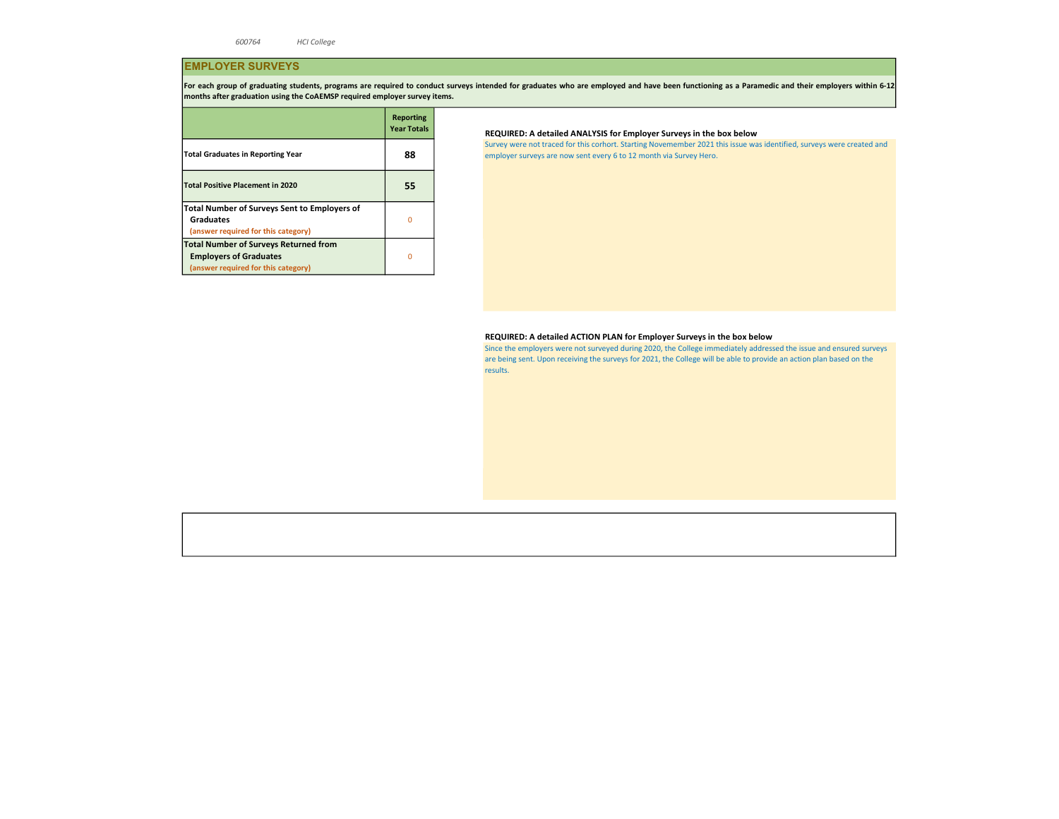# EMPLOYER SURVEYS

For each group of graduating students, programs are required to conduct surveys intended for graduates who are employed and have been functioning as a Paramedic and their employers within 6-12 months after graduation using the CoAEMSP required employer survey items.

|                                                                                                                      | <b>Reporting</b><br><b>Year Totals</b> |
|----------------------------------------------------------------------------------------------------------------------|----------------------------------------|
| <b>Total Graduates in Reporting Year</b>                                                                             | 88                                     |
| <b>Total Positive Placement in 2020</b>                                                                              | 55                                     |
| <b>Total Number of Surveys Sent to Employers of</b><br><b>Graduates</b><br>(answer required for this category)       | Ω                                      |
| <b>Total Number of Surveys Returned from</b><br><b>Employers of Graduates</b><br>(answer required for this category) | n                                      |

## REQUIRED: A detailed ANALYSIS for Employer Surveys in the box below

Survey were not traced for this corhort. Starting Novemember 2021 this issue was identified, surveys were created and employer surveys are now sent every 6 to 12 month via Survey Hero.

## REQUIRED: A detailed ACTION PLAN for Employer Surveys in the box below

Since the employers were not surveyed during 2020, the College immediately addressed the issue and ensured surveys are being sent. Upon receiving the surveys for 2021, the College will be able to provide an action plan based on the results.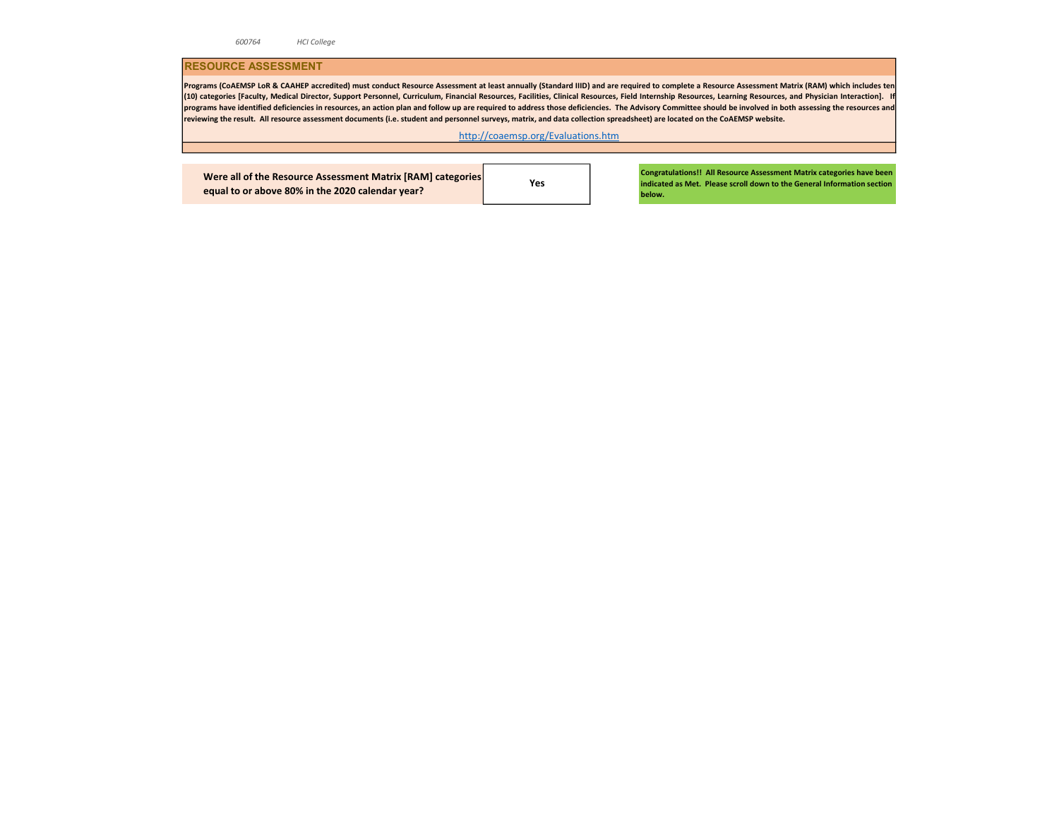## RESOURCE ASSESSMENT

Programs (CoAEMSP LoR & CAAHEP accredited) must conduct Resource Assessment at least annually (Standard IIID) and are required to complete a Resource Assessment Matrix (RAM) which includes ten (10) categories [Faculty, Medical Director, Support Personnel, Curriculum, Financial Resources, Facilities, Clinical Resources, Field Internship Resources, Learning Resources, and Physician Interaction]. If programs have identified deficiencies in resources, an action plan and follow up are required to address those deficiencies. The Advisory Committee should be involved in both assessing the resources and reviewing the result. All resource assessment documents (i.e. student and personnel surveys, matrix, and data collection spreadsheet) are located on the CoAEMSP website.

http://coaemsp.org/Evaluations.htm

Were all of the Resource Assessment Matrix [RAM] categories equal to or above 80% in the 2020 calendar year?

Yes

Congratulations!! All Resource Assessment Matrix categories have been indicated as Met. Please scroll down to the General Information section below.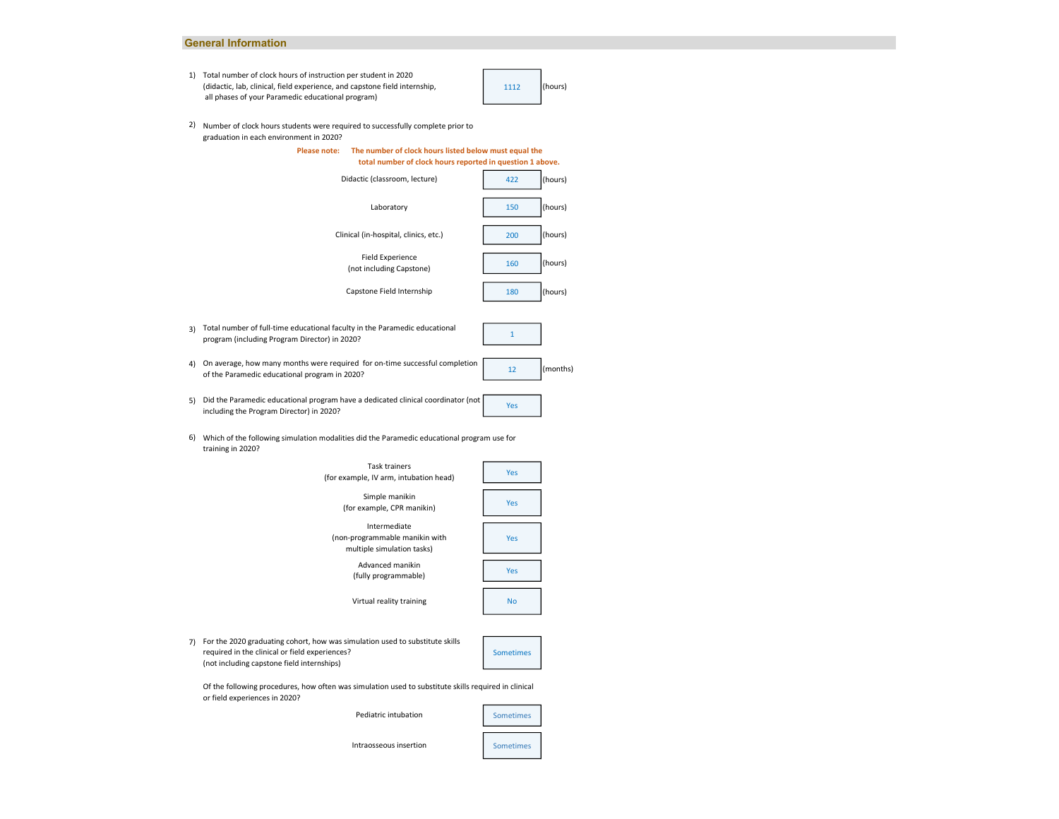### General Information

1) Total number of clock hours of instruction per student in 2020 (didactic, lab, clinical, field experience, and capstone field internship, all phases of your Paramedic educational program)

1112 (hours)

2) Number of clock hours students were required to successfully complete prior to graduation in each environment in 2020?





Of the following procedures, how often was simulation used to substitute skills required in clinical or field experiences in 2020?

Sometimes Sometimes

Intraosseous insertion

Pediatric intubation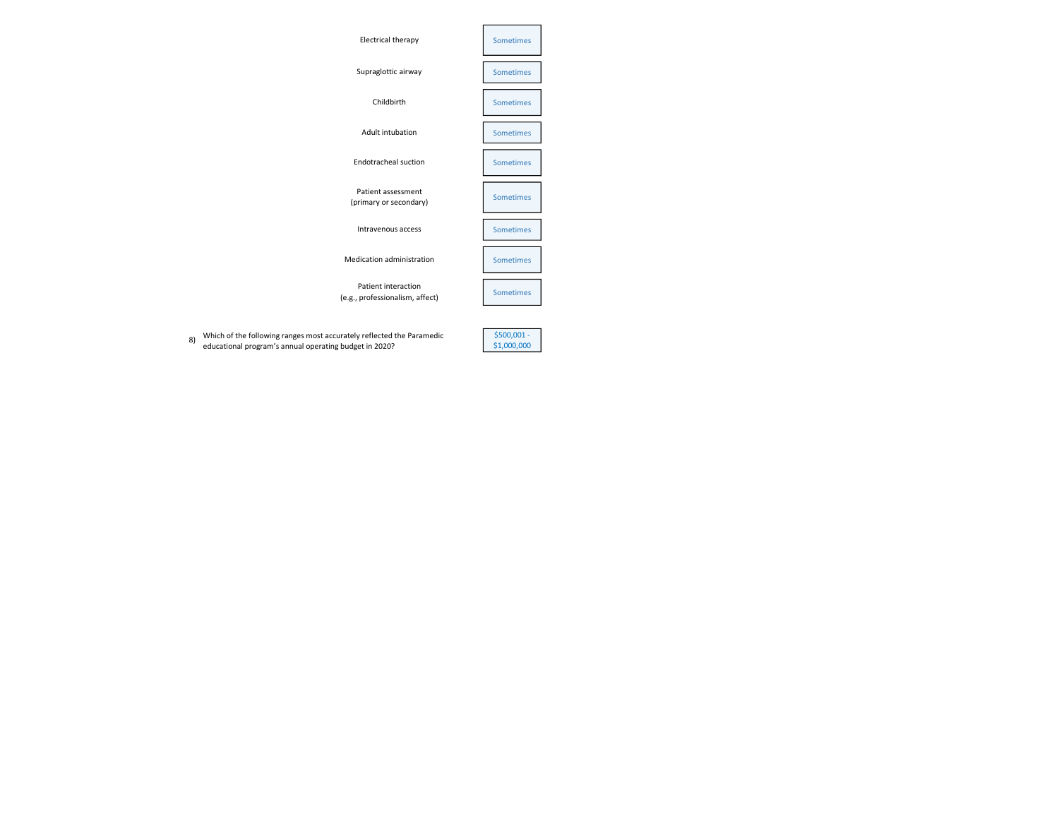

8) Which of the following ranges most accurately reflected the Paramedic \$500,001 educational program's annual operating budget in 2020?

\$1,000,000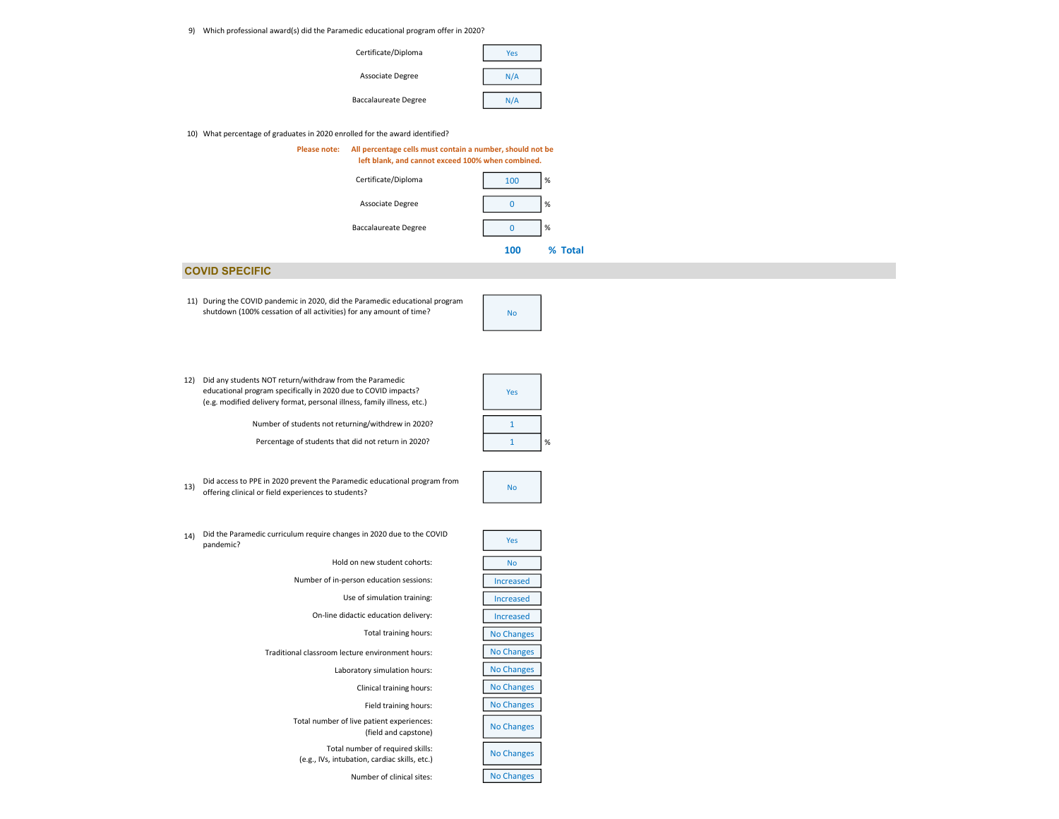9) Which professional award(s) did the Paramedic educational program offer in 2020?



#### 10) What percentage of graduates in 2020 enrolled for the award identified?



## COVID SPECIFIC

11) During the COVID pandemic in 2020, did the Paramedic educational program shutdown (100% cessation of all activities) for any amount of time?

| Yes |   |
|-----|---|
| 1   |   |
|     | % |

No

Number of students not returning/withdrew in 2020? (e.g. modified delivery format, personal illness, family illness, etc.)

educational program specifically in 2020 due to COVID impacts?

12) Did any students NOT return/withdraw from the Paramedic

Percentage of students that did not return in 2020?

Did access to PPE in 2020 prevent the Paramedic educational program from  $\overline{N}$  No offering clinical or field experiences to students?

| Yes               |
|-------------------|
| No                |
| Increased         |
| Increased         |
| Increased         |
| <b>No Changes</b> |
| <b>No Changes</b> |
| <b>No Changes</b> |
| <b>No Changes</b> |
| <b>No Changes</b> |
| <b>No Changes</b> |
| <b>No Changes</b> |
| <b>No Changes</b> |

- 14) Did the Paramedic curriculum require changes in 2020 due to the COVID<br>Pandomic2 pandemic?
	- Hold on new student cohorts:

Number of in-person education sessions:

Use of simulation training:

On-line didactic education delivery:

Total training hours:

Traditional classroom lecture environment hours:

Laboratory simulation hours:

Clinical training hours:

Field training hours:

Total number of live patient experiences: (field and capstone)

Total number of required skills: (e.g., IVs, intubation, cardiac skills, etc.)

Number of clinical sites: